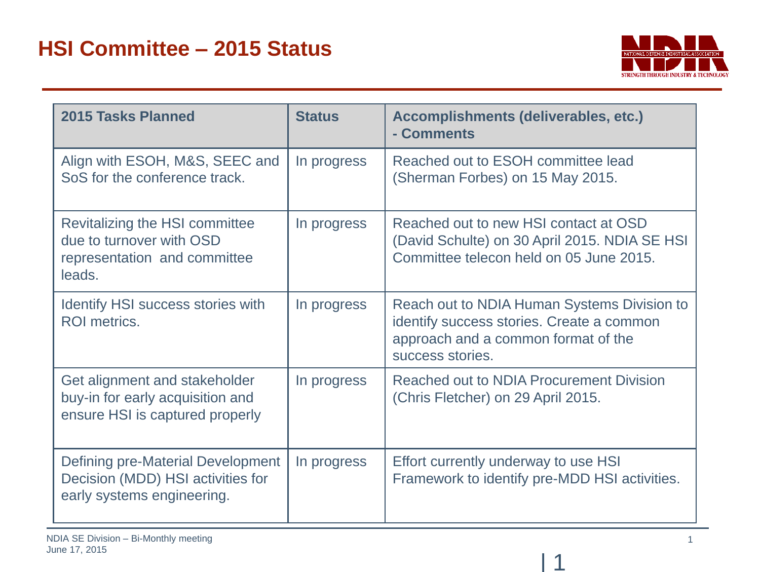

| 2015 Tasks Planned                                                                                   | <b>Status</b> | Accomplishments (deliverables, etc.)<br>- Comments                                                                                                  |
|------------------------------------------------------------------------------------------------------|---------------|-----------------------------------------------------------------------------------------------------------------------------------------------------|
| Align with ESOH, M&S, SEEC and<br>SoS for the conference track.                                      | In progress   | Reached out to ESOH committee lead<br>(Sherman Forbes) on 15 May 2015.                                                                              |
| Revitalizing the HSI committee<br>due to turnover with OSD<br>representation and committee<br>leads. | In progress   | Reached out to new HSI contact at OSD<br>(David Schulte) on 30 April 2015. NDIA SE HSI<br>Committee telecon held on 05 June 2015.                   |
| Identify HSI success stories with<br><b>ROI</b> metrics.                                             | In progress   | Reach out to NDIA Human Systems Division to<br>identify success stories. Create a common<br>approach and a common format of the<br>success stories. |
| Get alignment and stakeholder<br>buy-in for early acquisition and<br>ensure HSI is captured properly | In progress   | <b>Reached out to NDIA Procurement Division</b><br>(Chris Fletcher) on 29 April 2015.                                                               |
| Defining pre-Material Development<br>Decision (MDD) HSI activities for<br>early systems engineering. | In progress   | Effort currently underway to use HSI<br>Framework to identify pre-MDD HSI activities.                                                               |